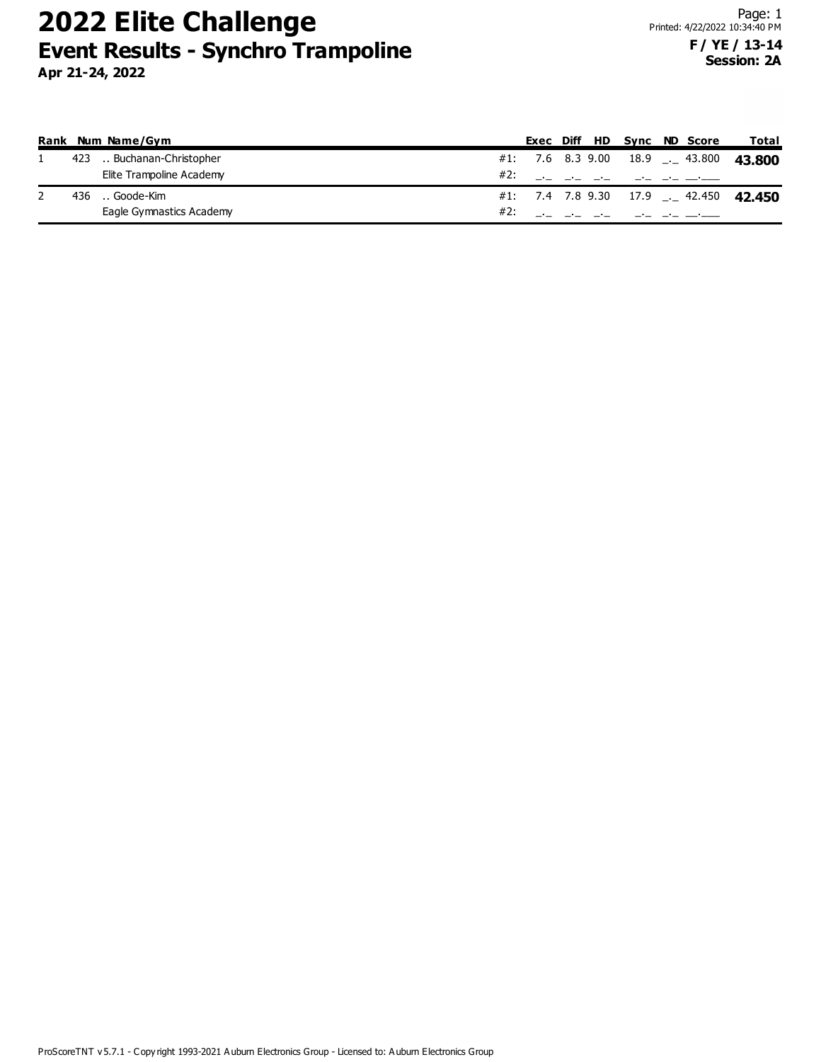|      | Rank Num Name/Gym         |     |  | Exec Diff HD Sync ND Score |                                         | Total                                 |
|------|---------------------------|-----|--|----------------------------|-----------------------------------------|---------------------------------------|
|      | 423  Buchanan-Christopher |     |  |                            | $\#1$ : 7.6 8.3 9.00 18.9 $\_\_$ 43.800 | 43.800                                |
|      | Elite Trampoline Academy  | #2: |  |                            |                                         |                                       |
| 436. | Goode-Kim                 |     |  |                            |                                         | #1: 7.4 7.8 9.30 17.9 . 42.450 42.450 |
|      | Eagle Gymnastics Academy  | #2: |  |                            |                                         |                                       |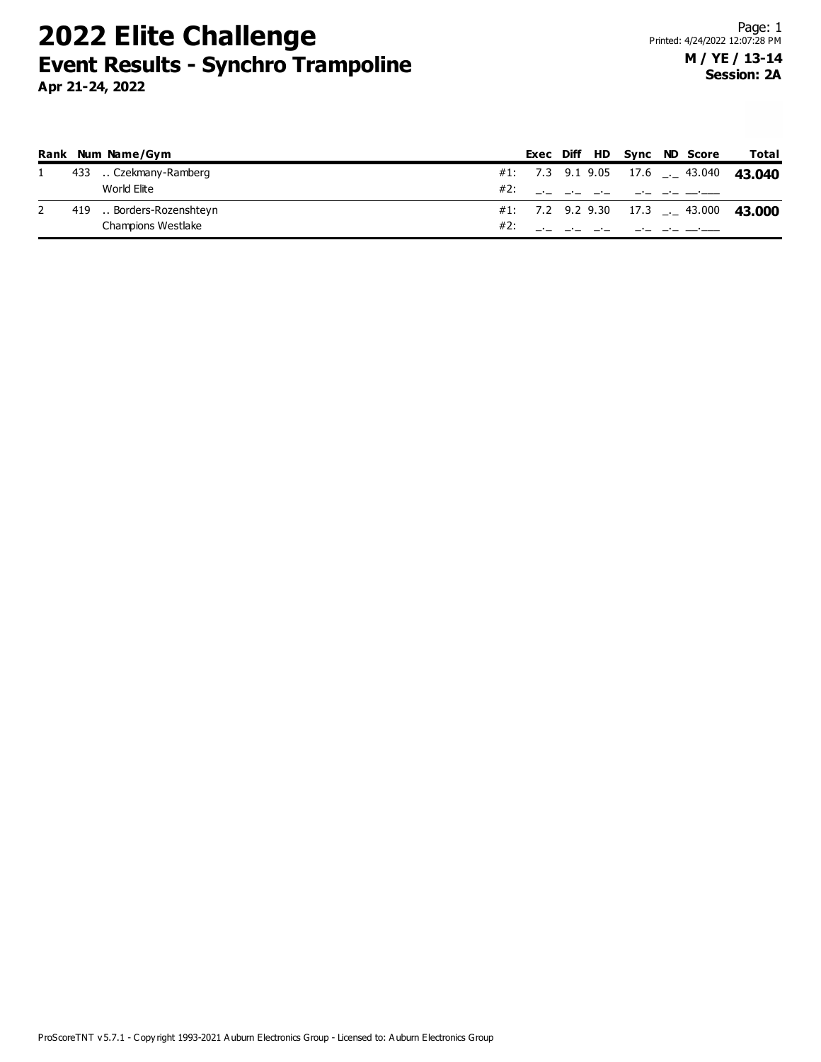|  | Rank Num Name/Gym        |     |  |  | Exec Diff HD Sync ND Score | Total                                        |
|--|--------------------------|-----|--|--|----------------------------|----------------------------------------------|
|  | 433  Czekmany-Ramberg    |     |  |  |                            | #1: 7.3 9.1 9.05 17.6 $\ldots$ 43.040 43.040 |
|  | World Elite              |     |  |  | #2: __ _ _ _ _ _ _ _ _     |                                              |
|  | 419  Borders-Rozenshteyn |     |  |  |                            | #1: 7.2 9.2 9.30 17.3 $-$ 43.000 43.000      |
|  | Champions Westlake       | #2: |  |  |                            |                                              |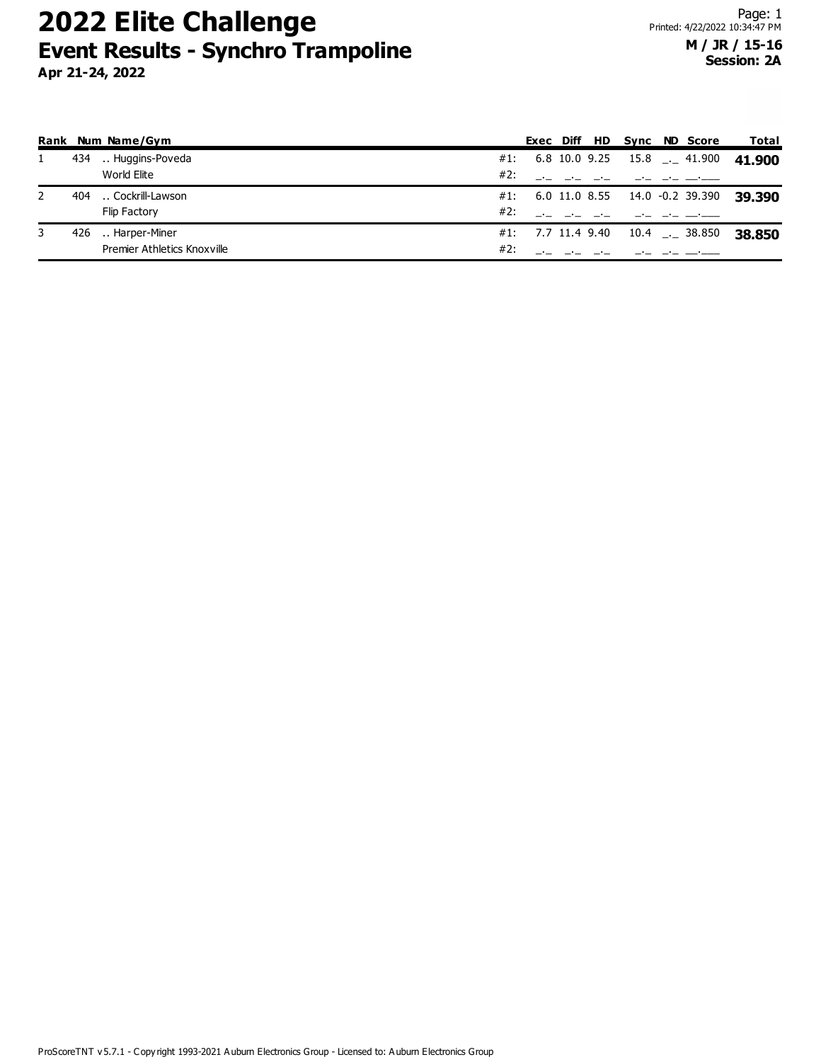|   |     | Rank Num Name/Gym           |     |                   |  |  | Exec Diff HD Sync ND Score               | Total  |
|---|-----|-----------------------------|-----|-------------------|--|--|------------------------------------------|--------|
|   | 434 | Huggins-Poveda              |     |                   |  |  | #1: $6.8$ 10.0 9.25 15.8 $\ldots$ 41.900 | 41.900 |
|   |     | World Elite                 | #2: |                   |  |  |                                          |        |
| 2 | 404 | Cockrill-Lawson             |     |                   |  |  | $\#1$ : 6.0 11.0 8.55 14.0 -0.2 39.390   | 39.390 |
|   |     | <b>Flip Factory</b>         | #2: |                   |  |  |                                          |        |
| 3 | 426 | Harper-Miner                |     | #1: 7.7 11.4 9.40 |  |  |                                          | 38.850 |
|   |     | Premier Athletics Knoxville | #2: |                   |  |  |                                          |        |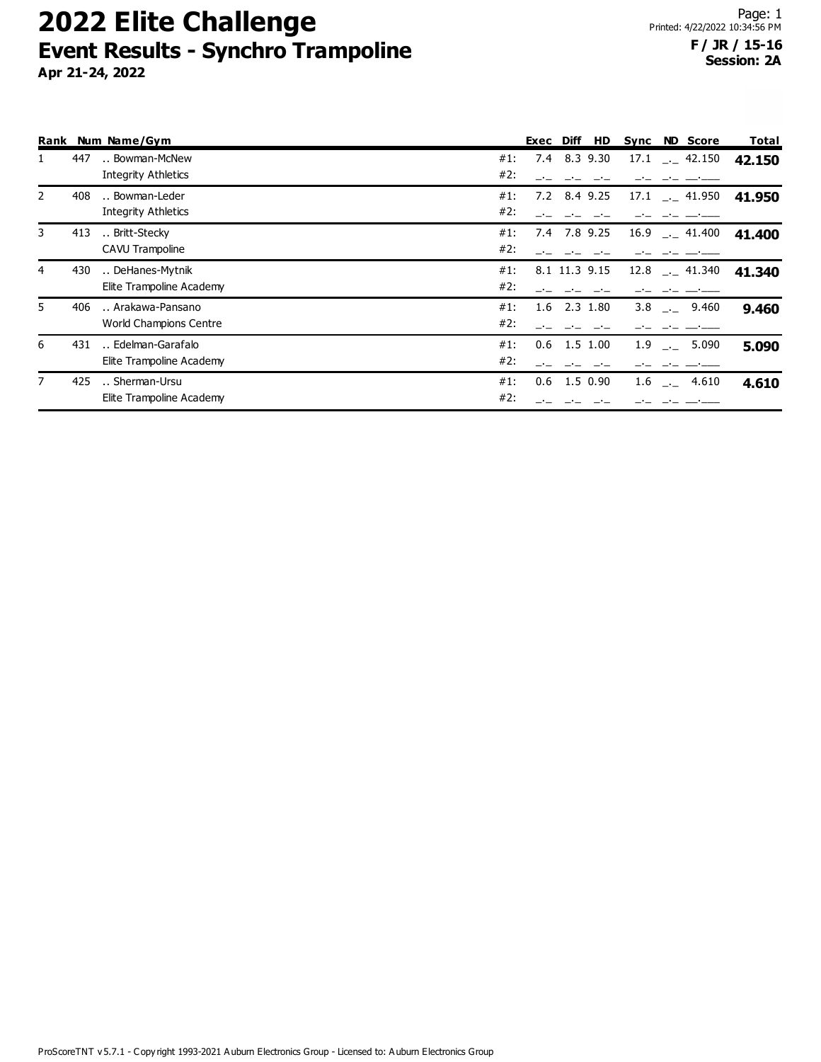|                |     | Rank Num Name/Gym             |     | Exec Diff |                | HD       | Sync |         | <b>ND Score</b>           | Total  |
|----------------|-----|-------------------------------|-----|-----------|----------------|----------|------|---------|---------------------------|--------|
| 1              | 447 | Bowman-McNew                  | #1: |           | 7.4 8.3 9.30   |          |      |         | $17.1$ $-2$ 42.150        | 42.150 |
|                |     | <b>Integrity Athletics</b>    | #2: |           |                |          |      |         |                           |        |
| $\overline{2}$ | 408 | Bowman-Leder                  | #1: | 7.2       | 8.4 9.25       |          |      |         | $17.1$ $-1$ 41.950        | 41.950 |
|                |     | <b>Integrity Athletics</b>    | #2: |           |                |          |      |         |                           |        |
| 3              | 413 | Britt-Stecky                  | #1: |           | 7.4 7.8 9.25   |          |      |         | $16.9$ $- 41.400$         | 41.400 |
|                |     | CAVU Trampoline               | #2: |           |                |          |      |         |                           |        |
| 4              | 430 | DeHanes-Mytnik                | #1: |           | 8.1 11.3 9.15  |          |      |         | $12.8$ $- 41.340$         | 41.340 |
|                |     | Elite Trampoline Academy      | #2: |           |                |          |      |         |                           |        |
| 5              | 406 | Arakawa-Pansano               | #1: |           | $1.6$ 2.3 1.80 |          |      |         | 3.8 . 9.460               | 9.460  |
|                |     | <b>World Champions Centre</b> | #2: |           |                |          |      |         |                           |        |
| 6              | 431 | Edelman-Garafalo              | #1: | 0.6       | 1.5 1.00       |          |      | $1.9$ . | 5.090                     | 5.090  |
|                |     | Elite Trampoline Academy      | #2: |           |                |          |      |         |                           |        |
| $\overline{7}$ | 425 | Sherman-Ursu                  | #1: | 0.6       |                | 1.5 0.90 |      |         | $1.6$ $-$ 4.610           | 4.610  |
|                |     | Elite Trampoline Academy      | #2: |           | ساب ساب ساب    |          |      |         | للمستدفع المساحين المساحي |        |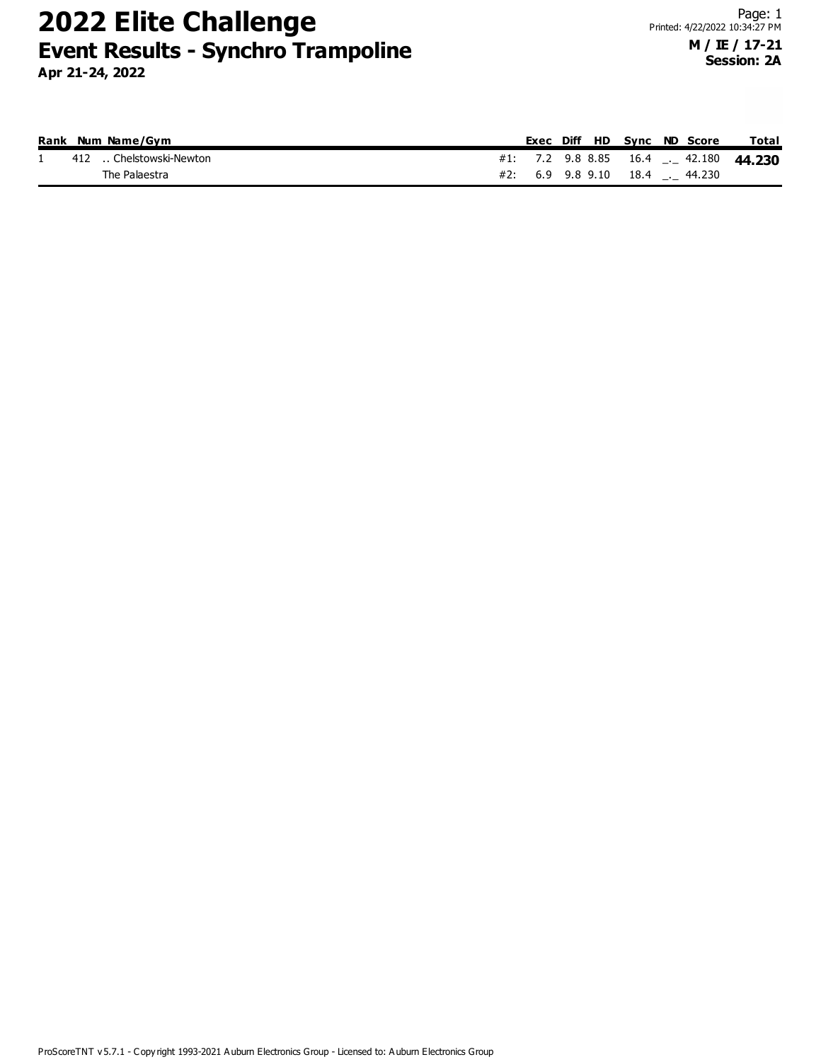|  | Rank Num Name/Gvm      |  |  |  | Exec Diff HD Sync ND Score     | Total                                   |
|--|------------------------|--|--|--|--------------------------------|-----------------------------------------|
|  | 412 Chelstowski-Newton |  |  |  |                                | #1: 7.2 9.8 8.85 16.4 $-$ 42.180 44.230 |
|  | The Palaestra          |  |  |  | #2: 6.9 9.8 9.10 18.4 . 44.230 |                                         |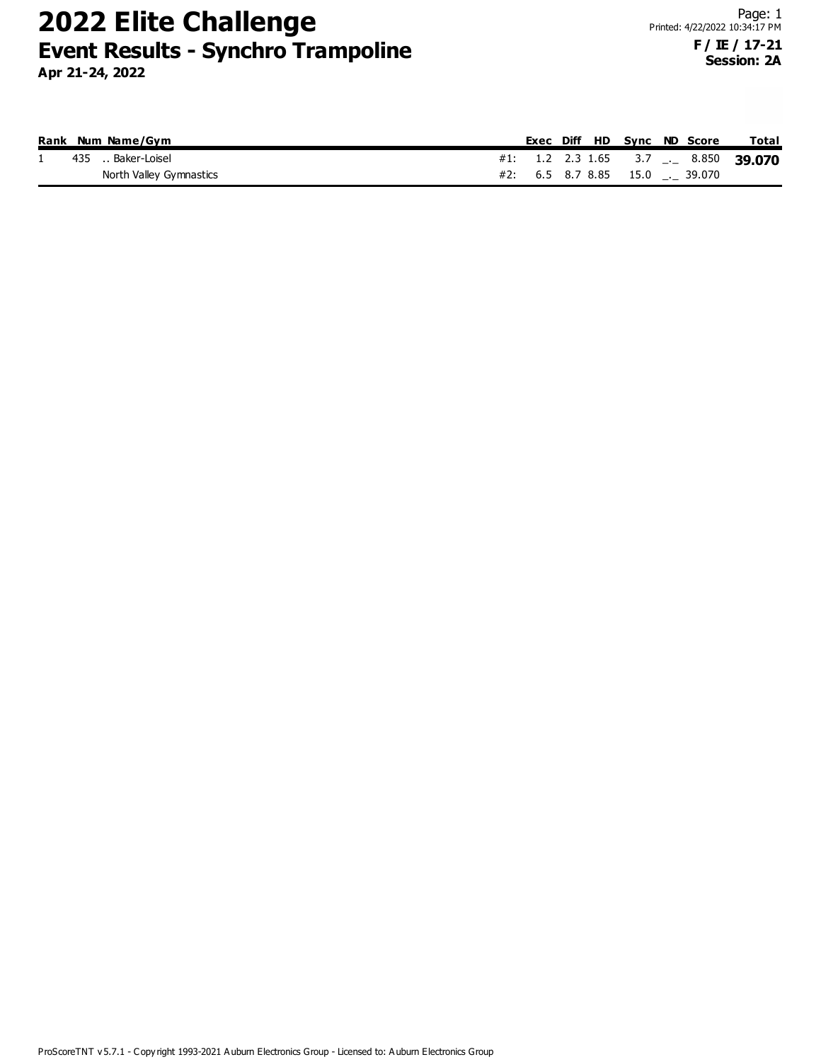|  | Rank Num Name/Gym       |  |  |  | Exec Diff HD Svnc ND Score     | <b>Total</b>                                           |
|--|-------------------------|--|--|--|--------------------------------|--------------------------------------------------------|
|  | 435  Baker-Loisel       |  |  |  |                                | #1: 1.2 2.3 1.65 3.7 $\frac{1}{2}$ 8.850 <b>39.070</b> |
|  | North Valley Gymnastics |  |  |  | #2: 6.5 8.7 8.85 15.0 . 39.070 |                                                        |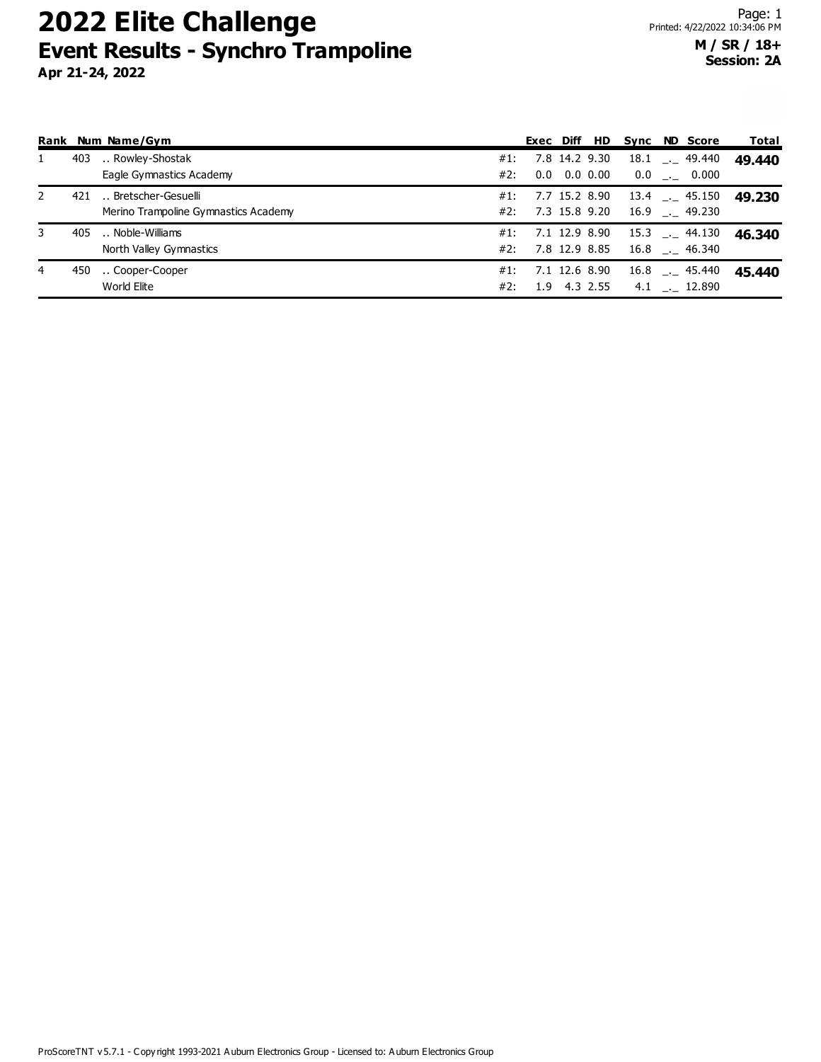|   |     | Rank Num Name/Gym                           |                   |     | Exec Diff HD  |  | Sync ND Score     | Total  |
|---|-----|---------------------------------------------|-------------------|-----|---------------|--|-------------------|--------|
|   | 403 | Rowley-Shostak<br>#1:                       |                   |     | 7.8 14.2 9.30 |  | $18.1$ $- 49.440$ | 49.440 |
|   |     | Eagle Gymnastics Academy<br>#2:             |                   | 0.0 | 0.0 0.00      |  | $0.0$ __ 0.000    |        |
| 2 | 421 | Bretscher-Gesuelli<br>#1:                   |                   |     | 7.7 15.2 8.90 |  | $13.4$ $- 45.150$ | 49.230 |
|   |     | Merino Trampoline Gymnastics Academy<br>#2: |                   |     | 7.3 15.8 9.20 |  | $16.9$ $- 49.230$ |        |
| 3 | 405 | Noble-Williams                              | #1: 7.1 12.9 8.90 |     |               |  | 15.3 . 44.130     | 46.340 |
|   |     | North Valley Gymnastics                     | #2: 7.8 12.9 8.85 |     |               |  | $16.8$ $- 46.340$ |        |
| 4 | 450 | Cooper-Cooper<br>#1:                        |                   |     | 7.1 12.6 8.90 |  | $16.8$ $- 45.440$ | 45.440 |
|   |     | World Elite<br>#2:                          |                   |     | 1.9 4.3 2.55  |  | $4.1$ __ 12.890   |        |